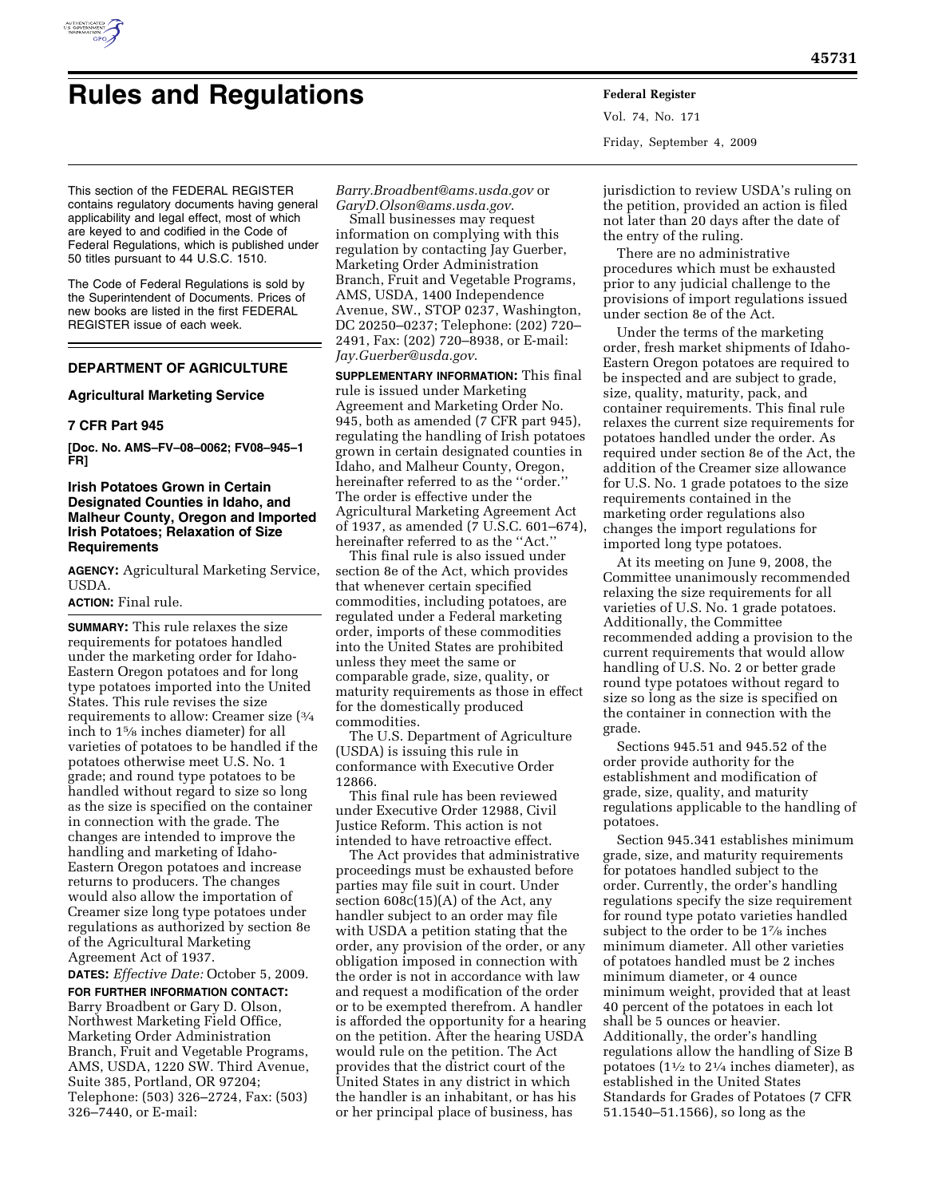

# **Rules and Regulations Federal Register**

Vol. 74, No. 171 Friday, September 4, 2009

This section of the FEDERAL REGISTER contains regulatory documents having general applicability and legal effect, most of which are keyed to and codified in the Code of Federal Regulations, which is published under 50 titles pursuant to 44 U.S.C. 1510.

The Code of Federal Regulations is sold by the Superintendent of Documents. Prices of new books are listed in the first FEDERAL REGISTER issue of each week.

# **DEPARTMENT OF AGRICULTURE**

## **Agricultural Marketing Service**

## **7 CFR Part 945**

**[Doc. No. AMS–FV–08–0062; FV08–945–1 FR]** 

## **Irish Potatoes Grown in Certain Designated Counties in Idaho, and Malheur County, Oregon and Imported Irish Potatoes; Relaxation of Size Requirements**

**AGENCY:** Agricultural Marketing Service, USDA.

## **ACTION:** Final rule.

**SUMMARY:** This rule relaxes the size requirements for potatoes handled under the marketing order for Idaho-Eastern Oregon potatoes and for long type potatoes imported into the United States. This rule revises the size requirements to allow: Creamer size (3⁄4 inch to 15⁄8 inches diameter) for all varieties of potatoes to be handled if the potatoes otherwise meet U.S. No. 1 grade; and round type potatoes to be handled without regard to size so long as the size is specified on the container in connection with the grade. The changes are intended to improve the handling and marketing of Idaho-Eastern Oregon potatoes and increase returns to producers. The changes would also allow the importation of Creamer size long type potatoes under regulations as authorized by section 8e of the Agricultural Marketing Agreement Act of 1937.

**DATES:** *Effective Date:* October 5, 2009. **FOR FURTHER INFORMATION CONTACT:**  Barry Broadbent or Gary D. Olson, Northwest Marketing Field Office, Marketing Order Administration Branch, Fruit and Vegetable Programs, AMS, USDA, 1220 SW. Third Avenue, Suite 385, Portland, OR 97204; Telephone: (503) 326–2724, Fax: (503) 326–7440, or E-mail:

*Barry.Broadbent@ams.usda.gov* or *GaryD.Olson@ams.usda.gov*.

Small businesses may request information on complying with this regulation by contacting Jay Guerber, Marketing Order Administration Branch, Fruit and Vegetable Programs, AMS, USDA, 1400 Independence Avenue, SW., STOP 0237, Washington, DC 20250–0237; Telephone: (202) 720– 2491, Fax: (202) 720–8938, or E-mail: *Jay.Guerber@usda.gov*.

**SUPPLEMENTARY INFORMATION:** This final rule is issued under Marketing Agreement and Marketing Order No. 945, both as amended (7 CFR part 945), regulating the handling of Irish potatoes grown in certain designated counties in Idaho, and Malheur County, Oregon, hereinafter referred to as the ''order.'' The order is effective under the Agricultural Marketing Agreement Act of 1937, as amended (7 U.S.C. 601–674), hereinafter referred to as the ''Act.''

This final rule is also issued under section 8e of the Act, which provides that whenever certain specified commodities, including potatoes, are regulated under a Federal marketing order, imports of these commodities into the United States are prohibited unless they meet the same or comparable grade, size, quality, or maturity requirements as those in effect for the domestically produced commodities.

The U.S. Department of Agriculture (USDA) is issuing this rule in conformance with Executive Order 12866.

This final rule has been reviewed under Executive Order 12988, Civil Justice Reform. This action is not intended to have retroactive effect.

The Act provides that administrative proceedings must be exhausted before parties may file suit in court. Under section 608c(15)(A) of the Act, any handler subject to an order may file with USDA a petition stating that the order, any provision of the order, or any obligation imposed in connection with the order is not in accordance with law and request a modification of the order or to be exempted therefrom. A handler is afforded the opportunity for a hearing on the petition. After the hearing USDA would rule on the petition. The Act provides that the district court of the United States in any district in which the handler is an inhabitant, or has his or her principal place of business, has

jurisdiction to review USDA's ruling on the petition, provided an action is filed not later than 20 days after the date of the entry of the ruling.

There are no administrative procedures which must be exhausted prior to any judicial challenge to the provisions of import regulations issued under section 8e of the Act.

Under the terms of the marketing order, fresh market shipments of Idaho-Eastern Oregon potatoes are required to be inspected and are subject to grade, size, quality, maturity, pack, and container requirements. This final rule relaxes the current size requirements for potatoes handled under the order. As required under section 8e of the Act, the addition of the Creamer size allowance for U.S. No. 1 grade potatoes to the size requirements contained in the marketing order regulations also changes the import regulations for imported long type potatoes.

At its meeting on June 9, 2008, the Committee unanimously recommended relaxing the size requirements for all varieties of U.S. No. 1 grade potatoes. Additionally, the Committee recommended adding a provision to the current requirements that would allow handling of U.S. No. 2 or better grade round type potatoes without regard to size so long as the size is specified on the container in connection with the grade.

Sections 945.51 and 945.52 of the order provide authority for the establishment and modification of grade, size, quality, and maturity regulations applicable to the handling of potatoes.

Section 945.341 establishes minimum grade, size, and maturity requirements for potatoes handled subject to the order. Currently, the order's handling regulations specify the size requirement for round type potato varieties handled subject to the order to be  $1\%$  inches minimum diameter. All other varieties of potatoes handled must be 2 inches minimum diameter, or 4 ounce minimum weight, provided that at least 40 percent of the potatoes in each lot shall be 5 ounces or heavier. Additionally, the order's handling regulations allow the handling of Size B potatoes ( $1\frac{1}{2}$  to  $2\frac{1}{4}$  inches diameter), as established in the United States Standards for Grades of Potatoes (7 CFR 51.1540–51.1566), so long as the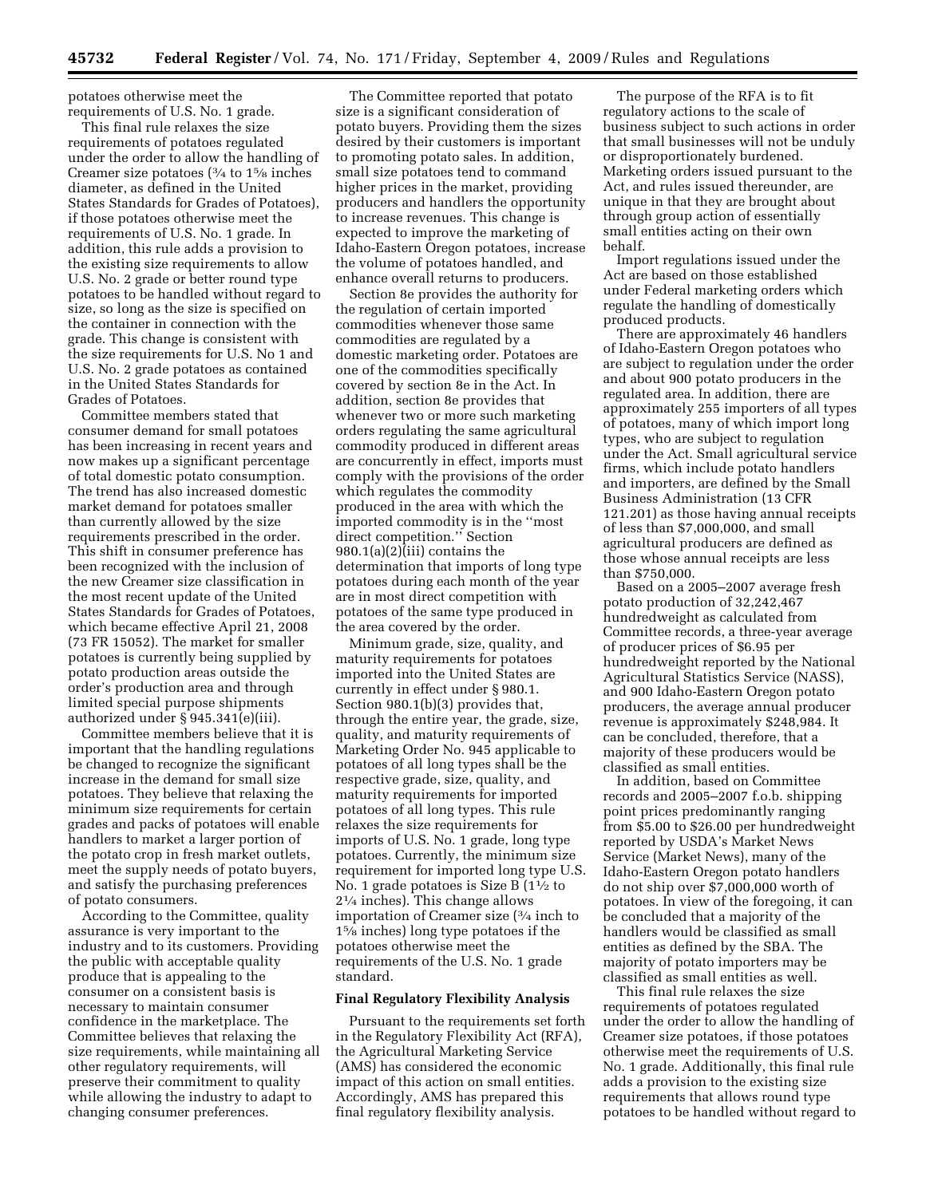potatoes otherwise meet the requirements of U.S. No. 1 grade.

This final rule relaxes the size requirements of potatoes regulated under the order to allow the handling of Creamer size potatoes (3⁄4 to 15⁄8 inches diameter, as defined in the United States Standards for Grades of Potatoes), if those potatoes otherwise meet the requirements of U.S. No. 1 grade. In addition, this rule adds a provision to the existing size requirements to allow U.S. No. 2 grade or better round type potatoes to be handled without regard to size, so long as the size is specified on the container in connection with the grade. This change is consistent with the size requirements for U.S. No 1 and U.S. No. 2 grade potatoes as contained in the United States Standards for Grades of Potatoes.

Committee members stated that consumer demand for small potatoes has been increasing in recent years and now makes up a significant percentage of total domestic potato consumption. The trend has also increased domestic market demand for potatoes smaller than currently allowed by the size requirements prescribed in the order. This shift in consumer preference has been recognized with the inclusion of the new Creamer size classification in the most recent update of the United States Standards for Grades of Potatoes, which became effective April 21, 2008 (73 FR 15052). The market for smaller potatoes is currently being supplied by potato production areas outside the order's production area and through limited special purpose shipments authorized under § 945.341(e)(iii).

Committee members believe that it is important that the handling regulations be changed to recognize the significant increase in the demand for small size potatoes. They believe that relaxing the minimum size requirements for certain grades and packs of potatoes will enable handlers to market a larger portion of the potato crop in fresh market outlets, meet the supply needs of potato buyers, and satisfy the purchasing preferences of potato consumers.

According to the Committee, quality assurance is very important to the industry and to its customers. Providing the public with acceptable quality produce that is appealing to the consumer on a consistent basis is necessary to maintain consumer confidence in the marketplace. The Committee believes that relaxing the size requirements, while maintaining all other regulatory requirements, will preserve their commitment to quality while allowing the industry to adapt to changing consumer preferences.

The Committee reported that potato size is a significant consideration of potato buyers. Providing them the sizes desired by their customers is important to promoting potato sales. In addition, small size potatoes tend to command higher prices in the market, providing producers and handlers the opportunity to increase revenues. This change is expected to improve the marketing of Idaho-Eastern Oregon potatoes, increase the volume of potatoes handled, and enhance overall returns to producers.

Section 8e provides the authority for the regulation of certain imported commodities whenever those same commodities are regulated by a domestic marketing order. Potatoes are one of the commodities specifically covered by section 8e in the Act. In addition, section 8e provides that whenever two or more such marketing orders regulating the same agricultural commodity produced in different areas are concurrently in effect, imports must comply with the provisions of the order which regulates the commodity produced in the area with which the imported commodity is in the ''most direct competition.'' Section 980.1(a)(2) $(iii)$  contains the determination that imports of long type potatoes during each month of the year are in most direct competition with potatoes of the same type produced in the area covered by the order.

Minimum grade, size, quality, and maturity requirements for potatoes imported into the United States are currently in effect under § 980.1. Section 980.1(b)(3) provides that, through the entire year, the grade, size, quality, and maturity requirements of Marketing Order No. 945 applicable to potatoes of all long types shall be the respective grade, size, quality, and maturity requirements for imported potatoes of all long types. This rule relaxes the size requirements for imports of U.S. No. 1 grade, long type potatoes. Currently, the minimum size requirement for imported long type U.S. No. 1 grade potatoes is Size B  $(1<sup>1</sup>/<sub>2</sub>$  to 21⁄4 inches). This change allows importation of Creamer size (3⁄4 inch to 15⁄8 inches) long type potatoes if the potatoes otherwise meet the requirements of the U.S. No. 1 grade standard.

### **Final Regulatory Flexibility Analysis**

Pursuant to the requirements set forth in the Regulatory Flexibility Act (RFA), the Agricultural Marketing Service (AMS) has considered the economic impact of this action on small entities. Accordingly, AMS has prepared this final regulatory flexibility analysis.

The purpose of the RFA is to fit regulatory actions to the scale of business subject to such actions in order that small businesses will not be unduly or disproportionately burdened. Marketing orders issued pursuant to the Act, and rules issued thereunder, are unique in that they are brought about through group action of essentially small entities acting on their own behalf.

Import regulations issued under the Act are based on those established under Federal marketing orders which regulate the handling of domestically produced products.

There are approximately 46 handlers of Idaho-Eastern Oregon potatoes who are subject to regulation under the order and about 900 potato producers in the regulated area. In addition, there are approximately 255 importers of all types of potatoes, many of which import long types, who are subject to regulation under the Act. Small agricultural service firms, which include potato handlers and importers, are defined by the Small Business Administration (13 CFR 121.201) as those having annual receipts of less than \$7,000,000, and small agricultural producers are defined as those whose annual receipts are less than \$750,000.

Based on a 2005–2007 average fresh potato production of 32,242,467 hundredweight as calculated from Committee records, a three-year average of producer prices of \$6.95 per hundredweight reported by the National Agricultural Statistics Service (NASS), and 900 Idaho-Eastern Oregon potato producers, the average annual producer revenue is approximately \$248,984. It can be concluded, therefore, that a majority of these producers would be classified as small entities.

In addition, based on Committee records and 2005–2007 f.o.b. shipping point prices predominantly ranging from \$5.00 to \$26.00 per hundredweight reported by USDA's Market News Service (Market News), many of the Idaho-Eastern Oregon potato handlers do not ship over \$7,000,000 worth of potatoes. In view of the foregoing, it can be concluded that a majority of the handlers would be classified as small entities as defined by the SBA. The majority of potato importers may be classified as small entities as well.

This final rule relaxes the size requirements of potatoes regulated under the order to allow the handling of Creamer size potatoes, if those potatoes otherwise meet the requirements of U.S. No. 1 grade. Additionally, this final rule adds a provision to the existing size requirements that allows round type potatoes to be handled without regard to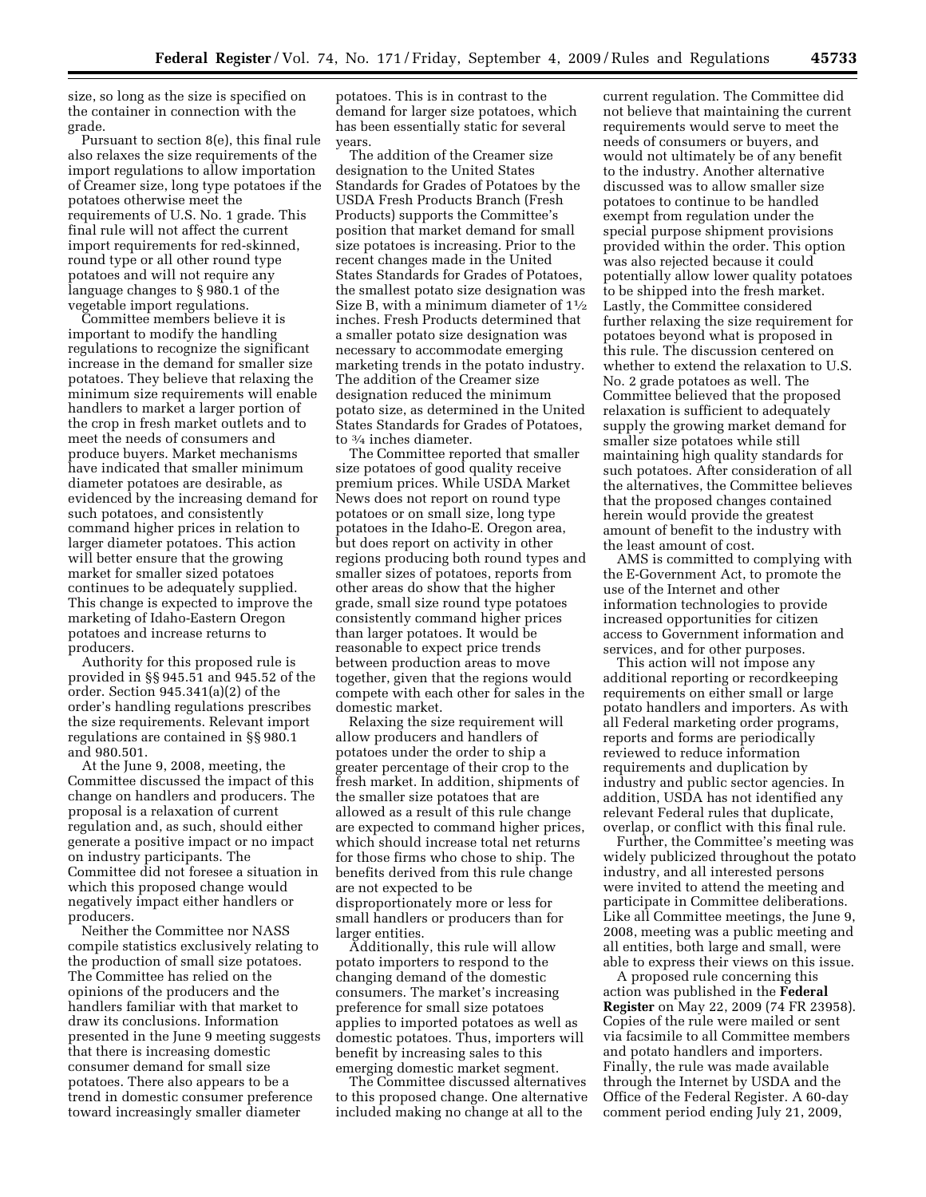size, so long as the size is specified on the container in connection with the grade.

Pursuant to section 8(e), this final rule also relaxes the size requirements of the import regulations to allow importation of Creamer size, long type potatoes if the potatoes otherwise meet the requirements of U.S. No. 1 grade. This final rule will not affect the current import requirements for red-skinned, round type or all other round type potatoes and will not require any language changes to § 980.1 of the vegetable import regulations.

Committee members believe it is important to modify the handling regulations to recognize the significant increase in the demand for smaller size potatoes. They believe that relaxing the minimum size requirements will enable handlers to market a larger portion of the crop in fresh market outlets and to meet the needs of consumers and produce buyers. Market mechanisms have indicated that smaller minimum diameter potatoes are desirable, as evidenced by the increasing demand for such potatoes, and consistently command higher prices in relation to larger diameter potatoes. This action will better ensure that the growing market for smaller sized potatoes continues to be adequately supplied. This change is expected to improve the marketing of Idaho-Eastern Oregon potatoes and increase returns to producers.

Authority for this proposed rule is provided in §§ 945.51 and 945.52 of the order. Section 945.341(a)(2) of the order's handling regulations prescribes the size requirements. Relevant import regulations are contained in §§ 980.1 and 980.501.

At the June 9, 2008, meeting, the Committee discussed the impact of this change on handlers and producers. The proposal is a relaxation of current regulation and, as such, should either generate a positive impact or no impact on industry participants. The Committee did not foresee a situation in which this proposed change would negatively impact either handlers or producers.

Neither the Committee nor NASS compile statistics exclusively relating to the production of small size potatoes. The Committee has relied on the opinions of the producers and the handlers familiar with that market to draw its conclusions. Information presented in the June 9 meeting suggests that there is increasing domestic consumer demand for small size potatoes. There also appears to be a trend in domestic consumer preference toward increasingly smaller diameter

potatoes. This is in contrast to the demand for larger size potatoes, which has been essentially static for several years.

The addition of the Creamer size designation to the United States Standards for Grades of Potatoes by the USDA Fresh Products Branch (Fresh Products) supports the Committee's position that market demand for small size potatoes is increasing. Prior to the recent changes made in the United States Standards for Grades of Potatoes, the smallest potato size designation was Size B, with a minimum diameter of 11⁄2 inches. Fresh Products determined that a smaller potato size designation was necessary to accommodate emerging marketing trends in the potato industry. The addition of the Creamer size designation reduced the minimum potato size, as determined in the United States Standards for Grades of Potatoes, to 3⁄4 inches diameter.

The Committee reported that smaller size potatoes of good quality receive premium prices. While USDA Market News does not report on round type potatoes or on small size, long type potatoes in the Idaho-E. Oregon area, but does report on activity in other regions producing both round types and smaller sizes of potatoes, reports from other areas do show that the higher grade, small size round type potatoes consistently command higher prices than larger potatoes. It would be reasonable to expect price trends between production areas to move together, given that the regions would compete with each other for sales in the domestic market.

Relaxing the size requirement will allow producers and handlers of potatoes under the order to ship a greater percentage of their crop to the fresh market. In addition, shipments of the smaller size potatoes that are allowed as a result of this rule change are expected to command higher prices, which should increase total net returns for those firms who chose to ship. The benefits derived from this rule change are not expected to be disproportionately more or less for small handlers or producers than for larger entities.

Additionally, this rule will allow potato importers to respond to the changing demand of the domestic consumers. The market's increasing preference for small size potatoes applies to imported potatoes as well as domestic potatoes. Thus, importers will benefit by increasing sales to this emerging domestic market segment.

The Committee discussed alternatives to this proposed change. One alternative included making no change at all to the

current regulation. The Committee did not believe that maintaining the current requirements would serve to meet the needs of consumers or buyers, and would not ultimately be of any benefit to the industry. Another alternative discussed was to allow smaller size potatoes to continue to be handled exempt from regulation under the special purpose shipment provisions provided within the order. This option was also rejected because it could potentially allow lower quality potatoes to be shipped into the fresh market. Lastly, the Committee considered further relaxing the size requirement for potatoes beyond what is proposed in this rule. The discussion centered on whether to extend the relaxation to U.S. No. 2 grade potatoes as well. The Committee believed that the proposed relaxation is sufficient to adequately supply the growing market demand for smaller size potatoes while still maintaining high quality standards for such potatoes. After consideration of all the alternatives, the Committee believes that the proposed changes contained herein would provide the greatest amount of benefit to the industry with the least amount of cost.

AMS is committed to complying with the E-Government Act, to promote the use of the Internet and other information technologies to provide increased opportunities for citizen access to Government information and services, and for other purposes.

This action will not impose any additional reporting or recordkeeping requirements on either small or large potato handlers and importers. As with all Federal marketing order programs, reports and forms are periodically reviewed to reduce information requirements and duplication by industry and public sector agencies. In addition, USDA has not identified any relevant Federal rules that duplicate, overlap, or conflict with this final rule.

Further, the Committee's meeting was widely publicized throughout the potato industry, and all interested persons were invited to attend the meeting and participate in Committee deliberations. Like all Committee meetings, the June 9, 2008, meeting was a public meeting and all entities, both large and small, were able to express their views on this issue.

A proposed rule concerning this action was published in the **Federal Register** on May 22, 2009 (74 FR 23958). Copies of the rule were mailed or sent via facsimile to all Committee members and potato handlers and importers. Finally, the rule was made available through the Internet by USDA and the Office of the Federal Register. A 60-day comment period ending July 21, 2009,